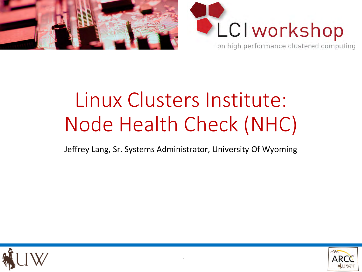



# Linux Clusters Institute: Node Health Check (NHC)

Jeffrey Lang, Sr. Systems Administrator, University Of Wyoming



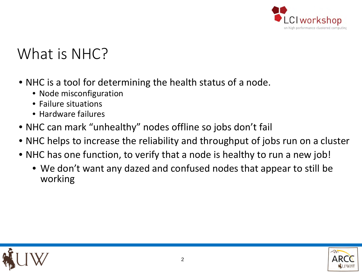

## What is NHC?

- NHC is a tool for determining the health status of a node.
	- Node misconfiguration
	- Failure situations
	- Hardware failures
- NHC can mark "unhealthy" nodes offline so jobs don't fail
- NHC helps to increase the reliability and throughput of jobs run on a cluster
- NHC has one function, to verify that a node is healthy to run a new job!
	- We don't want any dazed and confused nodes that appear to still be working



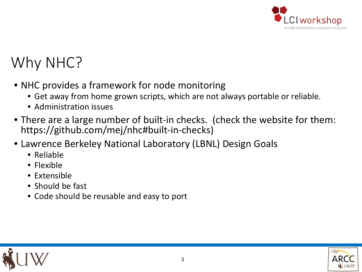

## Why NHC?

- NHC provides a framework for node monitoring
	- Get away from home grown scripts, which are not always portable or reliable.
	- Administration issues
- There are a large number of built-in checks. (check the website for them: https://github.com/mej/nhc#built-in-checks)
- Lawrence Berkeley National Laboratory (LBNL) Design Goals
	- Reliable
	- Flexible
	- Extensible
	- Should be fast
	- Code should be reusable and easy to port



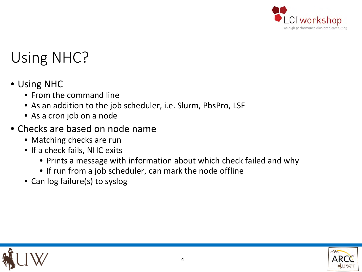

## Using NHC?

- Using NHC
	- From the command line
	- As an addition to the job scheduler, i.e. Slurm, PbsPro, LSF
	- As a cron job on a node
- Checks are based on node name
	- Matching checks are run
	- If a check fails, NHC exits
		- Prints a message with information about which check failed and why
		- If run from a job scheduler, can mark the node offline
	- Can log failure(s) to syslog



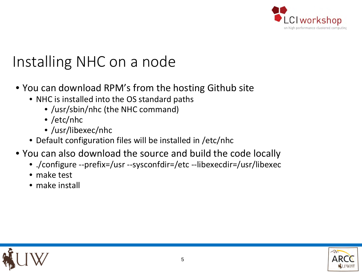

## Installing NHC on a node

- You can download RPM's from the hosting Github site
	- NHC is installed into the OS standard paths
		- /usr/sbin/nhc (the NHC command)
		- /etc/nhc
		- /usr/libexec/nhc
	- Default configuration files will be installed in /etc/nhc
- You can also download the source and build the code locally
	- ./configure --prefix=/usr --sysconfdir=/etc --libexecdir=/usr/libexec
	- make test
	- make install



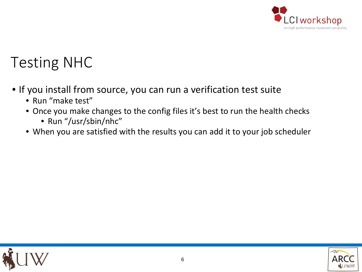

#### Testing NHC

- If you install from source, you can run a verification test suite
	- Run "make test"
	- Once you make changes to the config files it's best to run the health checks
		- Run "/usr/sbin/nhc"
	- When you are satisfied with the results you can add it to your job scheduler



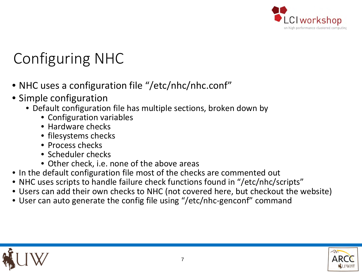

## Configuring NHC

- NHC uses a configuration file "/etc/nhc/nhc.conf"
- Simple configuration
	- Default configuration file has multiple sections, broken down by
		- Configuration variables
		- Hardware checks
		- filesystems checks
		- Process checks
		- Scheduler checks
		- Other check, i.e. none of the above areas
- In the default configuration file most of the checks are commented out
- NHC uses scripts to handle failure check functions found in "/etc/nhc/scripts"
- Users can add their own checks to NHC (not covered here, but checkout the website)
- User can auto generate the config file using "/etc/nhc-genconf" command



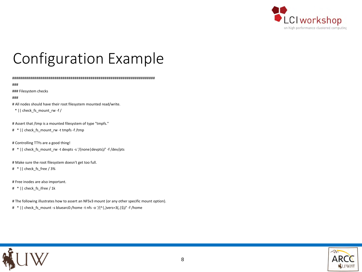

## Configuration Example

#######################################################################

###

### Filesystem checks

###

# All nodes should have their root filesystem mounted read/write.

 $*$  || check fs mount rw -f /

# Assert that /tmp is a mounted filesystem of type "tmpfs."

# \* || check\_fs\_mount\_rw -t tmpfs -f /tmp

# Controlling TTYs are a good thing!

# \* || check fs\_mount\_rw -t devpts -s '/(none|devpts)/' -f /dev/pts

# Make sure the root filesystem doesn't get too full.

# \* || check\_fs\_free / 3%

# Free inodes are also important.

# \* || check fs ifree / 1k

# The following illustrates how to assert an NFSv3 mount (or any other specific mount option).

# \* || check\_fs\_mount -s bluearc0:/home -t nfs -o '/(^|,)vers=3(,|\$)/' -f /home



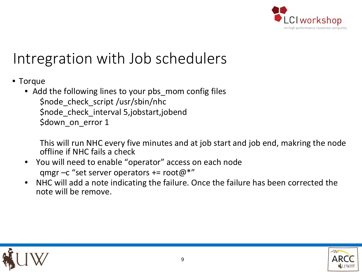

## Intregration with Job schedulers

- Torque
	- Add the following lines to your pbs\_mom config files \$node\_check\_script /usr/sbin/nhc \$node\_check\_interval 5,jobstart,jobend \$down\_on\_error 1

This will run NHC every five minutes and at job start and job end, makring the node offline if NHC fails a check

- You will need to enable "operator" access on each node qmgr –c "set server operators += root@\*"
- NHC will add a note indicating the failure. Once the failure has been corrected the note will be remove.